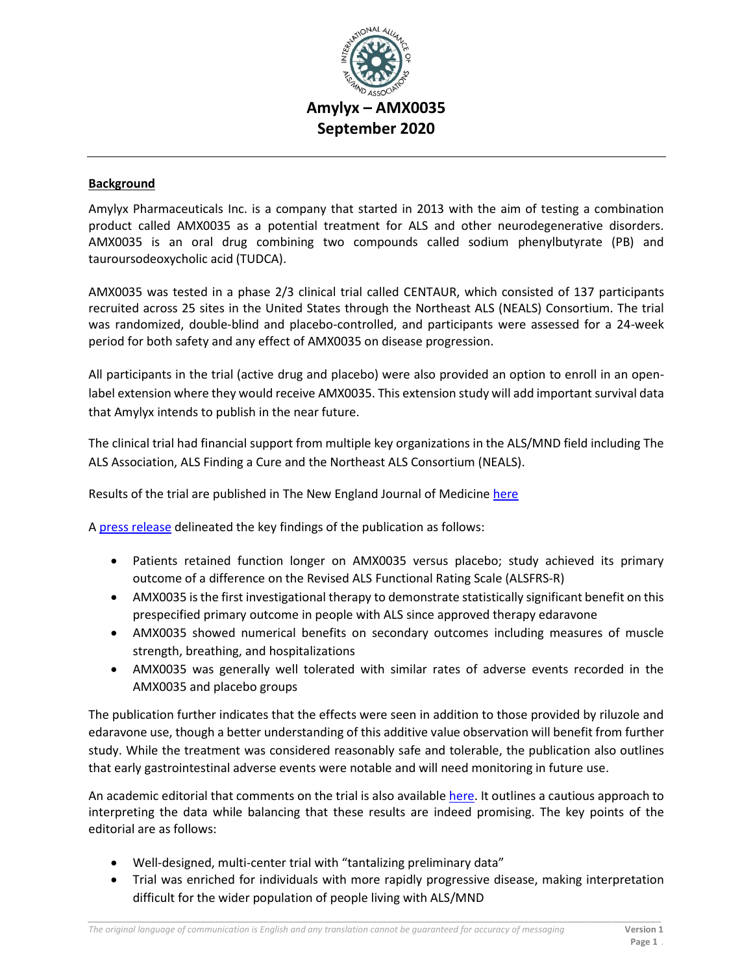

### **Background**

Amylyx Pharmaceuticals Inc. is a company that started in 2013 with the aim of testing a combination product called AMX0035 as a potential treatment for ALS and other neurodegenerative disorders. AMX0035 is an oral drug combining two compounds called sodium phenylbutyrate (PB) and tauroursodeoxycholic acid (TUDCA).

AMX0035 was tested in a phase 2/3 clinical trial called CENTAUR, which consisted of 137 participants recruited across 25 sites in the United States through the Northeast ALS (NEALS) Consortium. The trial was randomized, double-blind and placebo-controlled, and participants were assessed for a 24-week period for both safety and any effect of AMX0035 on disease progression.

All participants in the trial (active drug and placebo) were also provided an option to enroll in an openlabel extension where they would receive AMX0035. This extension study will add important survival data that Amylyx intends to publish in the near future.

The clinical trial had financial support from multiple key organizations in the ALS/MND field including The ALS Association, ALS Finding a Cure and the Northeast ALS Consortium (NEALS).

Results of the trial are published in The New England Journal of Medicine [here](https://www.nejm.org/doi/full/10.1056/NEJMoa1916945?query=featured_home)

A [press release](https://www.amylyx.com/2020/09/02/amylyx-pharmaceuticals-announces-new-england-journal-of-medicine-publication-of-pivotal-amx0035-data-demonstrating-statistically-significant-benefit-in-people-with-als/) delineated the key findings of the publication as follows:

- Patients retained function longer on AMX0035 versus placebo; study achieved its primary outcome of a difference on the Revised ALS Functional Rating Scale (ALSFRS-R)
- AMX0035 is the first investigational therapy to demonstrate statistically significant benefit on this prespecified primary outcome in people with ALS since approved therapy edaravone
- AMX0035 showed numerical benefits on secondary outcomes including measures of muscle strength, breathing, and hospitalizations
- AMX0035 was generally well tolerated with similar rates of adverse events recorded in the AMX0035 and placebo groups

The publication further indicates that the effects were seen in addition to those provided by riluzole and edaravone use, though a better understanding of this additive value observation will benefit from further study. While the treatment was considered reasonably safe and tolerable, the publication also outlines that early gastrointestinal adverse events were notable and will need monitoring in future use.

An academic editorial that comments on the trial is also available [here.](https://www.nejm.org/doi/full/10.1056/NEJMe2021144) It outlines a cautious approach to interpreting the data while balancing that these results are indeed promising. The key points of the editorial are as follows:

- Well-designed, multi-center trial with "tantalizing preliminary data"
- Trial was enriched for individuals with more rapidly progressive disease, making interpretation difficult for the wider population of people living with ALS/MND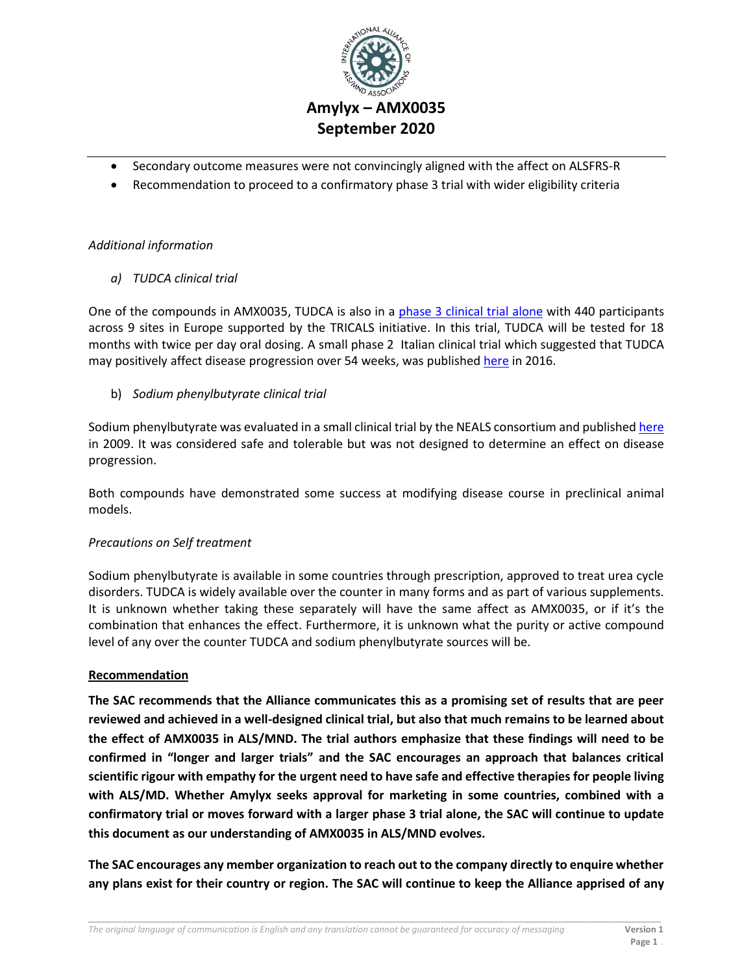

## **Amylyx – AMX0035 September 2020**

- Secondary outcome measures were not convincingly aligned with the affect on ALSFRS-R
- Recommendation to proceed to a confirmatory phase 3 trial with wider eligibility criteria

### *Additional information*

*a) TUDCA clinical trial*

One of the compounds in AMX0035, TUDCA is also in a [phase 3 clinical trial alone](https://www.tricals.org/trials/tudca-als-tudca/) with 440 participants across 9 sites in Europe supported by the TRICALS initiative. In this trial, TUDCA will be tested for 18 months with twice per day oral dosing. A small phase 2 Italian clinical trial which suggested that TUDCA may positively affect disease progression over 54 weeks, was published [here](https://www.ncbi.nlm.nih.gov/pmc/articles/PMC5024041/) in 2016.

b) *Sodium phenylbutyrate clinical trial*

Sodium phenylbutyrate was evaluated in a small clinical trial by the NEALS consortium and published [here](https://www.tandfonline.com/doi/full/10.1080/17482960802320487) in 2009. It was considered safe and tolerable but was not designed to determine an effect on disease progression.

Both compounds have demonstrated some success at modifying disease course in preclinical animal models.

## *Precautions on Self treatment*

Sodium phenylbutyrate is available in some countries through prescription, approved to treat urea cycle disorders. TUDCA is widely available over the counter in many forms and as part of various supplements. It is unknown whether taking these separately will have the same affect as AMX0035, or if it's the combination that enhances the effect. Furthermore, it is unknown what the purity or active compound level of any over the counter TUDCA and sodium phenylbutyrate sources will be.

#### **Recommendation**

**The SAC recommends that the Alliance communicates this as a promising set of results that are peer reviewed and achieved in a well-designed clinical trial, but also that much remains to be learned about the effect of AMX0035 in ALS/MND. The trial authors emphasize that these findings will need to be confirmed in "longer and larger trials" and the SAC encourages an approach that balances critical scientific rigour with empathy for the urgent need to have safe and effective therapies for people living with ALS/MD. Whether Amylyx seeks approval for marketing in some countries, combined with a confirmatory trial or moves forward with a larger phase 3 trial alone, the SAC will continue to update this document as our understanding of AMX0035 in ALS/MND evolves.**

**The SAC encourages any member organization to reach out to the company directly to enquire whether any plans exist for their country or region. The SAC will continue to keep the Alliance apprised of any** 

*\_\_\_\_\_\_\_\_\_\_\_\_\_\_\_\_\_\_\_\_\_\_\_\_\_\_\_\_\_\_\_\_\_\_\_\_\_\_\_\_\_\_\_\_\_\_\_\_\_\_\_\_\_\_\_\_\_\_\_\_\_\_\_\_\_\_\_\_\_\_\_\_\_\_\_\_\_\_\_\_\_\_\_\_\_\_\_\_\_\_\_\_\_\_\_\_\_\_\_\_\_\_\_\_\_\_\_\_\_\_\_\_\_\_\_\_\_*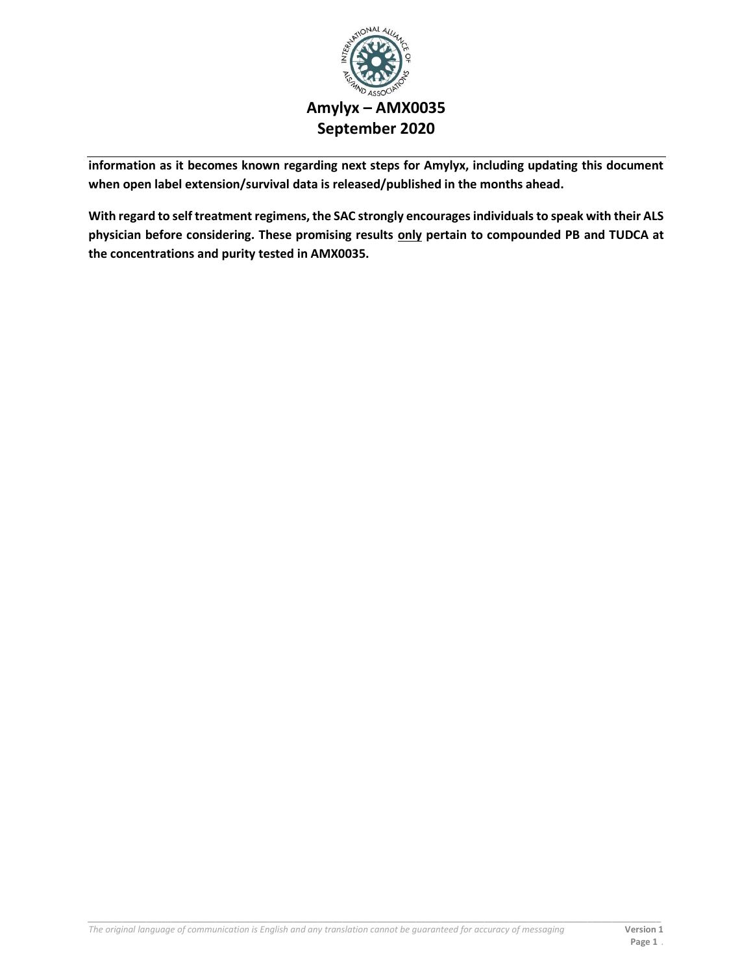

# **Amylyx – AMX0035 September 2020**

**information as it becomes known regarding next steps for Amylyx, including updating this document when open label extension/survival data is released/published in the months ahead.**

**With regard to self treatment regimens, the SAC strongly encourages individuals to speak with their ALS physician before considering. These promising results only pertain to compounded PB and TUDCA at the concentrations and purity tested in AMX0035.**